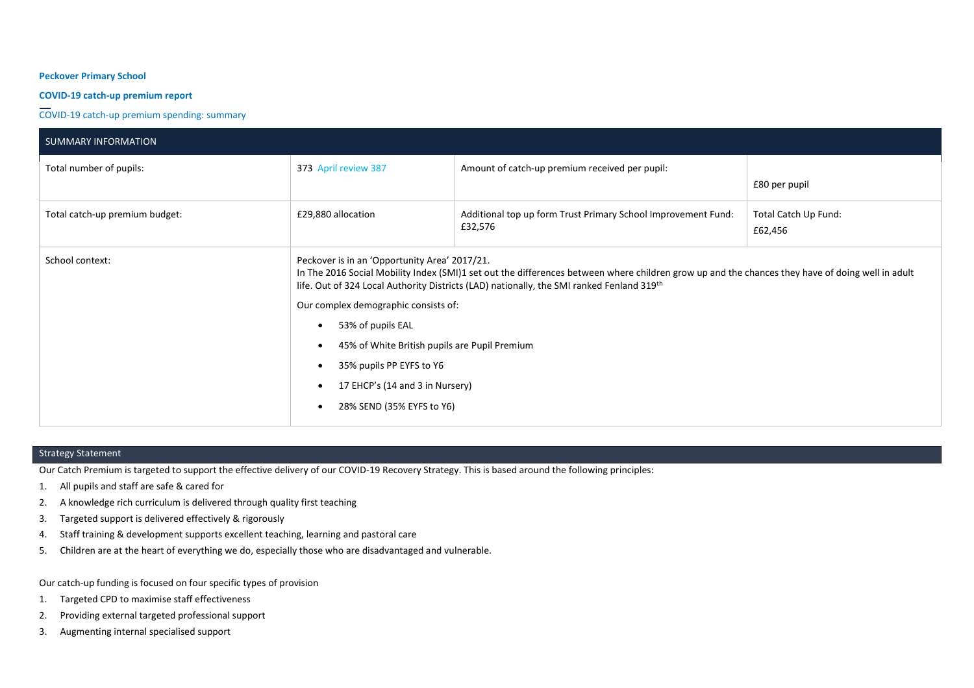## **Peckover Primary School**

## **COVID-19 catch-up premium report**

COVID-19 catch-up premium spending: summary

| <b>SUMMARY INFORMATION</b>     |                                                                                                                                                                                                                                                                                                                          |                                                                                                                                                                                                                                               |                                 |
|--------------------------------|--------------------------------------------------------------------------------------------------------------------------------------------------------------------------------------------------------------------------------------------------------------------------------------------------------------------------|-----------------------------------------------------------------------------------------------------------------------------------------------------------------------------------------------------------------------------------------------|---------------------------------|
| Total number of pupils:        | 373 April review 387                                                                                                                                                                                                                                                                                                     | Amount of catch-up premium received per pupil:                                                                                                                                                                                                | £80 per pupil                   |
| Total catch-up premium budget: | £29,880 allocation                                                                                                                                                                                                                                                                                                       | Additional top up form Trust Primary School Improvement Fund:<br>£32,576                                                                                                                                                                      | Total Catch Up Fund:<br>£62,456 |
| School context:                | Peckover is in an 'Opportunity Area' 2017/21.<br>Our complex demographic consists of:<br>53% of pupils EAL<br>$\bullet$<br>45% of White British pupils are Pupil Premium<br>$\bullet$<br>35% pupils PP EYFS to Y6<br>$\bullet$<br>17 EHCP's (14 and 3 in Nursery)<br>$\bullet$<br>28% SEND (35% EYFS to Y6)<br>$\bullet$ | In The 2016 Social Mobility Index (SMI)1 set out the differences between where children grow up and the chances they have of doing well in adult<br>life. Out of 324 Local Authority Districts (LAD) nationally, the SMI ranked Fenland 319th |                                 |

# Strategy Statement

Our Catch Premium is targeted to support the effective delivery of our COVID-19 Recovery Strategy. This is based around the following principles:

- 1. All pupils and staff are safe & cared for
- 2. A knowledge rich curriculum is delivered through quality first teaching
- 3. Targeted support is delivered effectively & rigorously
- 4. Staff training & development supports excellent teaching, learning and pastoral care
- 5. Children are at the heart of everything we do, especially those who are disadvantaged and vulnerable.

Our catch-up funding is focused on four specific types of provision

- 1. Targeted CPD to maximise staff effectiveness
- 2. Providing external targeted professional support
- 3. Augmenting internal specialised support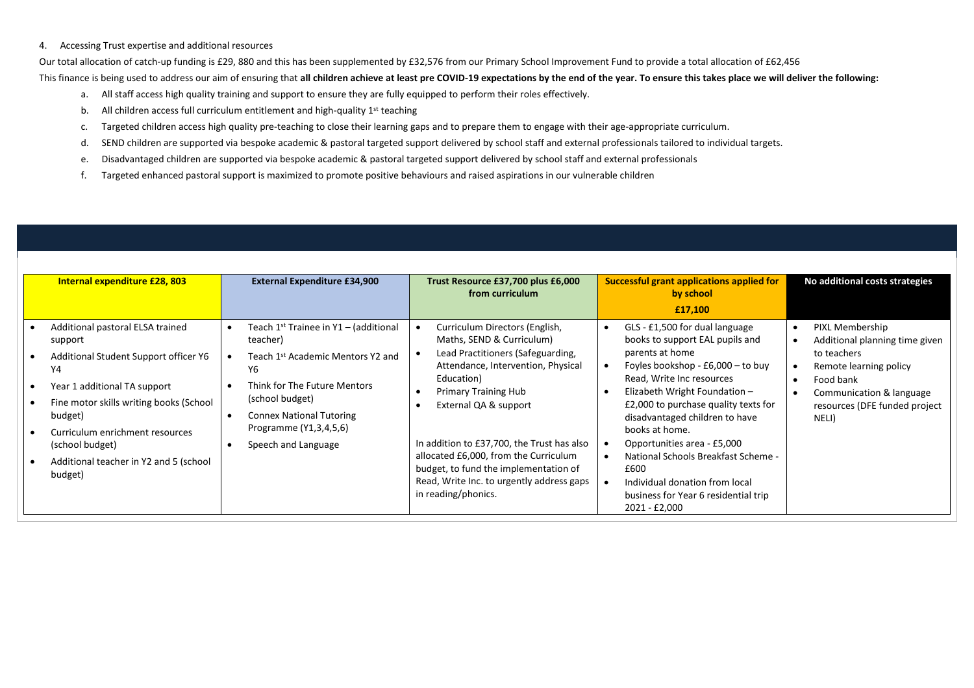#### 4. Accessing Trust expertise and additional resources

Our total allocation of catch-up funding is £29, 880 and this has been supplemented by £32,576 from our Primary School Improvement Fund to provide a total allocation of £62,456 This finance is being used to address our aim of ensuring that **all children achieve at least pre COVID-19 expectations by the end of the year. To ensure this takes place we will deliver the following:**

- a. All staff access high quality training and support to ensure they are fully equipped to perform their roles effectively.
- b. All children access full curriculum entitlement and high-quality  $1<sup>st</sup>$  teaching
- c. Targeted children access high quality pre-teaching to close their learning gaps and to prepare them to engage with their age-appropriate curriculum.
- d. SEND children are supported via bespoke academic & pastoral targeted support delivered by school staff and external professionals tailored to individual targets.
- e. Disadvantaged children are supported via bespoke academic & pastoral targeted support delivered by school staff and external professionals
- f. Targeted enhanced pastoral support is maximized to promote positive behaviours and raised aspirations in our vulnerable children

| Internal expenditure £28, 803                      | <b>External Expenditure £34,900</b>                    | Trust Resource £37,700 plus £6,000<br>from curriculum                                                                                              | <b>Successful grant applications applied for</b><br>by school<br>£17,100                                                               | No additional costs strategies                    |
|----------------------------------------------------|--------------------------------------------------------|----------------------------------------------------------------------------------------------------------------------------------------------------|----------------------------------------------------------------------------------------------------------------------------------------|---------------------------------------------------|
| Additional pastoral ELSA trained<br>support        | Teach $1^{st}$ Trainee in Y1 – (additional<br>teacher) | Curriculum Directors (English,<br>Maths, SEND & Curriculum)                                                                                        | GLS - £1,500 for dual language<br>books to support EAL pupils and                                                                      | PIXL Membership<br>Additional planning time given |
| Additional Student Support officer Y6<br>Υ4        | Teach 1st Academic Mentors Y2 and<br>Υ6                | Lead Practitioners (Safeguarding,<br>Attendance, Intervention, Physical                                                                            | parents at home<br>Foyles bookshop - £6,000 - to buy                                                                                   | to teachers<br>Remote learning policy             |
| Year 1 additional TA support                       | Think for The Future Mentors                           | Education)<br><b>Primary Training Hub</b>                                                                                                          | Read, Write Inc resources<br>Elizabeth Wright Foundation -                                                                             | Food bank<br>Communication & language             |
| Fine motor skills writing books (School<br>budget) | (school budget)<br><b>Connex National Tutoring</b>     | External QA & support                                                                                                                              | £2,000 to purchase quality texts for<br>disadvantaged children to have                                                                 | resources (DFE funded project<br>NELI)            |
| Curriculum enrichment resources<br>(school budget) | Programme (Y1,3,4,5,6)<br>Speech and Language          | In addition to £37,700, the Trust has also                                                                                                         | books at home.<br>Opportunities area - £5,000                                                                                          |                                                   |
| Additional teacher in Y2 and 5 (school<br>budget)  |                                                        | allocated £6,000, from the Curriculum<br>budget, to fund the implementation of<br>Read, Write Inc. to urgently address gaps<br>in reading/phonics. | National Schools Breakfast Scheme -<br>£600<br>Individual donation from local<br>business for Year 6 residential trip<br>2021 - £2,000 |                                                   |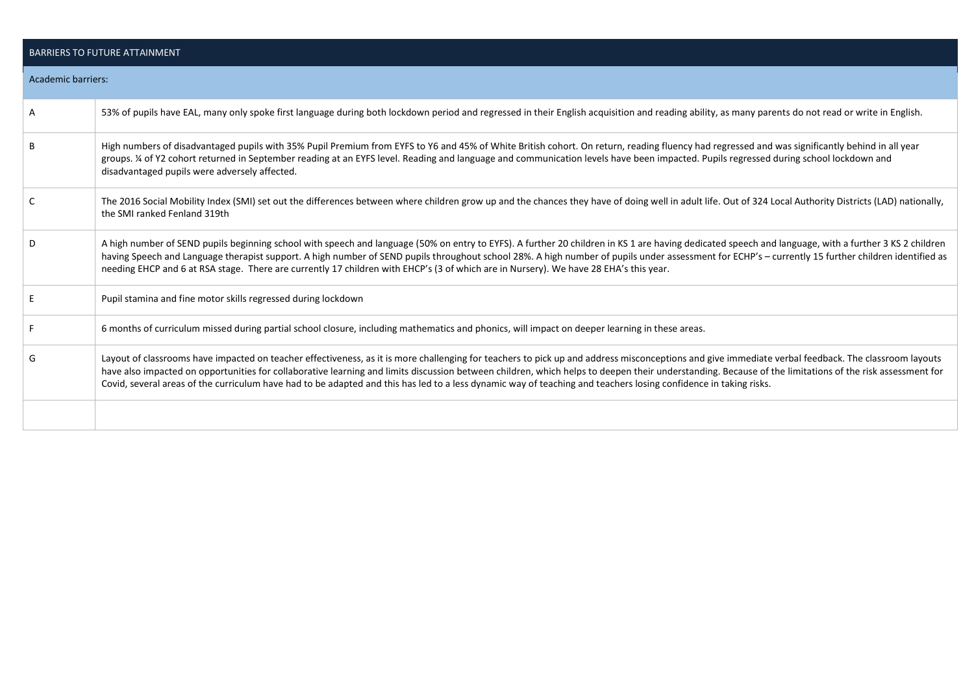|                           | <b>BARRIERS TO FUTURE ATTAINMENT</b>                                                                                                                                                                                                                                                                                                                                                                                                                                                                                                                                               |
|---------------------------|------------------------------------------------------------------------------------------------------------------------------------------------------------------------------------------------------------------------------------------------------------------------------------------------------------------------------------------------------------------------------------------------------------------------------------------------------------------------------------------------------------------------------------------------------------------------------------|
| <b>Academic barriers:</b> |                                                                                                                                                                                                                                                                                                                                                                                                                                                                                                                                                                                    |
| Α                         | 53% of pupils have EAL, many only spoke first language during both lockdown period and regressed in their English acquisition and reading ability, as many parents do not read or write in English.                                                                                                                                                                                                                                                                                                                                                                                |
| В                         | High numbers of disadvantaged pupils with 35% Pupil Premium from EYFS to Y6 and 45% of White British cohort. On return, reading fluency had regressed and was significantly behind in all year<br>groups. ¼ of Y2 cohort returned in September reading at an EYFS level. Reading and language and communication levels have been impacted. Pupils regressed during school lockdown and<br>disadvantaged pupils were adversely affected.                                                                                                                                            |
| C                         | The 2016 Social Mobility Index (SMI) set out the differences between where children grow up and the chances they have of doing well in adult life. Out of 324 Local Authority Districts (LAD) nationally,<br>the SMI ranked Fenland 319th                                                                                                                                                                                                                                                                                                                                          |
| D                         | A high number of SEND pupils beginning school with speech and language (50% on entry to EYFS). A further 20 children in KS 1 are having dedicated speech and language, with a further 3 KS 2 children<br>having Speech and Language therapist support. A high number of SEND pupils throughout school 28%. A high number of pupils under assessment for ECHP's - currently 15 further children identified as<br>needing EHCP and 6 at RSA stage. There are currently 17 children with EHCP's (3 of which are in Nursery). We have 28 EHA's this year.                              |
|                           | Pupil stamina and fine motor skills regressed during lockdown                                                                                                                                                                                                                                                                                                                                                                                                                                                                                                                      |
|                           | 6 months of curriculum missed during partial school closure, including mathematics and phonics, will impact on deeper learning in these areas.                                                                                                                                                                                                                                                                                                                                                                                                                                     |
| G                         | Layout of classrooms have impacted on teacher effectiveness, as it is more challenging for teachers to pick up and address misconceptions and give immediate verbal feedback. The classroom layouts<br>have also impacted on opportunities for collaborative learning and limits discussion between children, which helps to deepen their understanding. Because of the limitations of the risk assessment for<br>Covid, several areas of the curriculum have had to be adapted and this has led to a less dynamic way of teaching and teachers losing confidence in taking risks. |
|                           |                                                                                                                                                                                                                                                                                                                                                                                                                                                                                                                                                                                    |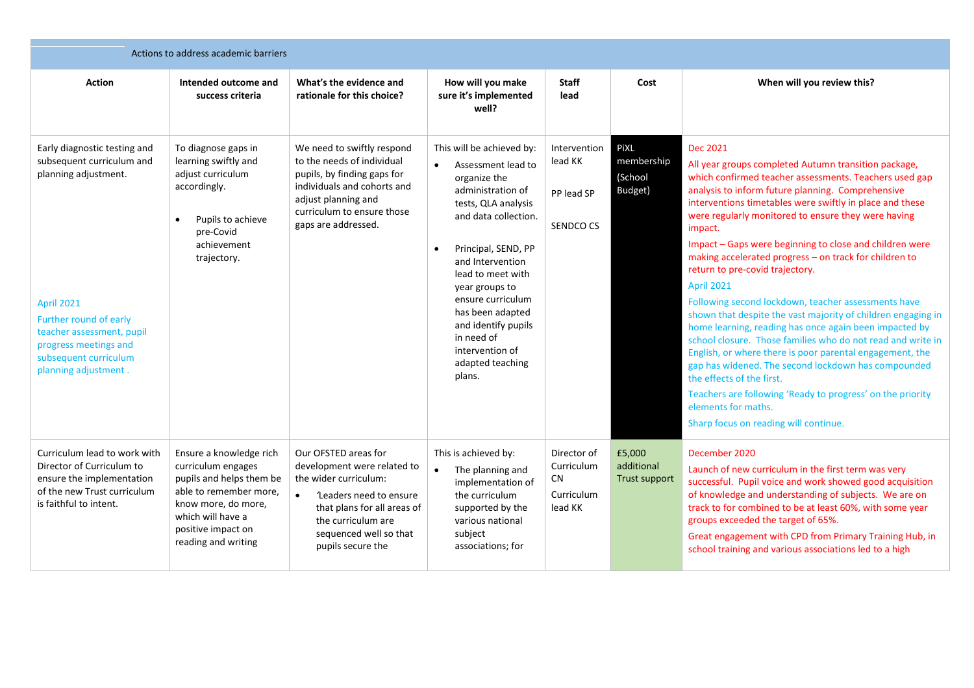| Actions to address academic barriers                                                                                                                                                                                                    |                                                                                                                                                                                              |                                                                                                                                                                                                                          |                                                                                                                                                                                                                                                                                                                                                                                |                                                                 |                                              |                                                                                                                                                                                                                                                                                                                                                                                                                                                                                                                                                                                                                                                                                                                                                                                                                                                                                                                                                                                                                   |  |  |
|-----------------------------------------------------------------------------------------------------------------------------------------------------------------------------------------------------------------------------------------|----------------------------------------------------------------------------------------------------------------------------------------------------------------------------------------------|--------------------------------------------------------------------------------------------------------------------------------------------------------------------------------------------------------------------------|--------------------------------------------------------------------------------------------------------------------------------------------------------------------------------------------------------------------------------------------------------------------------------------------------------------------------------------------------------------------------------|-----------------------------------------------------------------|----------------------------------------------|-------------------------------------------------------------------------------------------------------------------------------------------------------------------------------------------------------------------------------------------------------------------------------------------------------------------------------------------------------------------------------------------------------------------------------------------------------------------------------------------------------------------------------------------------------------------------------------------------------------------------------------------------------------------------------------------------------------------------------------------------------------------------------------------------------------------------------------------------------------------------------------------------------------------------------------------------------------------------------------------------------------------|--|--|
| <b>Action</b>                                                                                                                                                                                                                           | Intended outcome and<br>success criteria                                                                                                                                                     | What's the evidence and<br>rationale for this choice?                                                                                                                                                                    | How will you make<br>sure it's implemented<br>well?                                                                                                                                                                                                                                                                                                                            | <b>Staff</b><br>lead                                            | Cost                                         | When will you review this?                                                                                                                                                                                                                                                                                                                                                                                                                                                                                                                                                                                                                                                                                                                                                                                                                                                                                                                                                                                        |  |  |
| Early diagnostic testing and<br>subsequent curriculum and<br>planning adjustment.<br><b>April 2021</b><br>Further round of early<br>teacher assessment, pupil<br>progress meetings and<br>subsequent curriculum<br>planning adjustment. | To diagnose gaps in<br>learning swiftly and<br>adjust curriculum<br>accordingly.<br>Pupils to achieve<br>$\bullet$<br>pre-Covid<br>achievement<br>trajectory.                                | We need to swiftly respond<br>to the needs of individual<br>pupils, by finding gaps for<br>individuals and cohorts and<br>adjust planning and<br>curriculum to ensure those<br>gaps are addressed.                       | This will be achieved by:<br>Assessment lead to<br>$\bullet$<br>organize the<br>administration of<br>tests, QLA analysis<br>and data collection.<br>Principal, SEND, PP<br>$\bullet$<br>and Intervention<br>lead to meet with<br>year groups to<br>ensure curriculum<br>has been adapted<br>and identify pupils<br>in need of<br>intervention of<br>adapted teaching<br>plans. | Intervention<br>lead KK<br>PP lead SP<br>SENDCO CS              | PiXL<br>membership<br>(School<br>Budget)     | Dec 2021<br>All year groups completed Autumn transition package,<br>which confirmed teacher assessments. Teachers used gap<br>analysis to inform future planning. Comprehensive<br>interventions timetables were swiftly in place and these<br>were regularly monitored to ensure they were having<br>impact.<br>Impact - Gaps were beginning to close and children were<br>making accelerated progress - on track for children to<br>return to pre-covid trajectory.<br>April 2021<br>Following second lockdown, teacher assessments have<br>shown that despite the vast majority of children engaging in<br>home learning, reading has once again been impacted by<br>school closure. Those families who do not read and write in<br>English, or where there is poor parental engagement, the<br>gap has widened. The second lockdown has compounded<br>the effects of the first.<br>Teachers are following 'Ready to progress' on the priority<br>elements for maths.<br>Sharp focus on reading will continue. |  |  |
| Curriculum lead to work with<br>Director of Curriculum to<br>ensure the implementation<br>of the new Trust curriculum<br>is faithful to intent.                                                                                         | Ensure a knowledge rich<br>curriculum engages<br>pupils and helps them be<br>able to remember more,<br>know more, do more,<br>which will have a<br>positive impact on<br>reading and writing | Our OFSTED areas for<br>development were related to<br>the wider curriculum:<br>'Leaders need to ensure<br>$\bullet$<br>that plans for all areas of<br>the curriculum are<br>sequenced well so that<br>pupils secure the | This is achieved by:<br>The planning and<br>$\bullet$<br>implementation of<br>the curriculum<br>supported by the<br>various national<br>subject<br>associations; for                                                                                                                                                                                                           | Director of<br>Curriculum<br><b>CN</b><br>Curriculum<br>lead KK | £5,000<br>additional<br><b>Trust support</b> | December 2020<br>Launch of new curriculum in the first term was very<br>successful. Pupil voice and work showed good acquisition<br>of knowledge and understanding of subjects. We are on<br>track to for combined to be at least 60%, with some year<br>groups exceeded the target of 65%.<br>Great engagement with CPD from Primary Training Hub, in<br>school training and various associations led to a high                                                                                                                                                                                                                                                                                                                                                                                                                                                                                                                                                                                                  |  |  |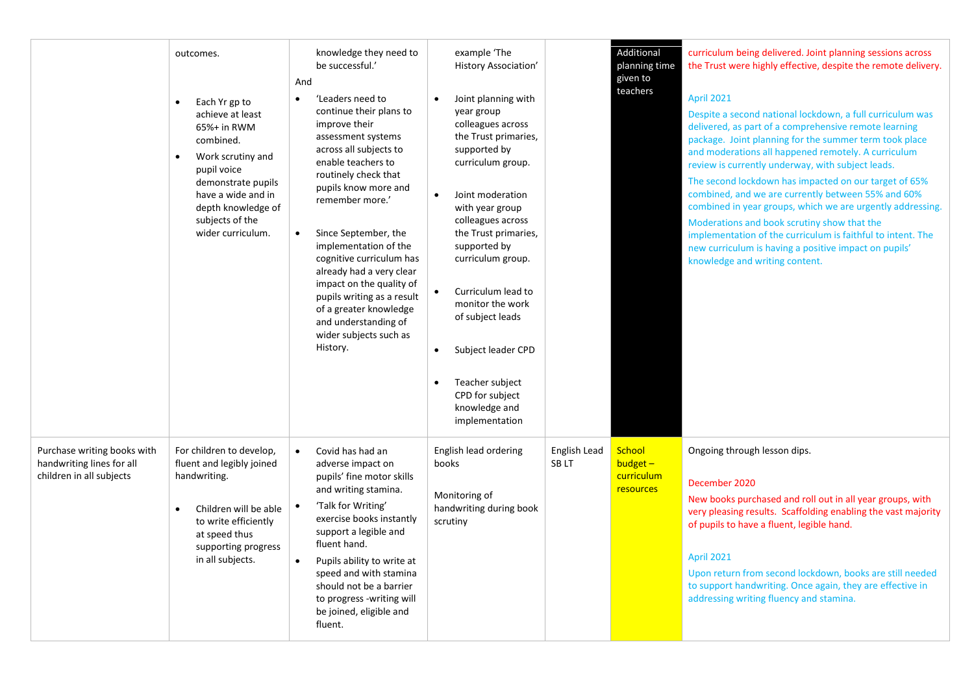|                                                                                      | outcomes.<br>Each Yr gp to<br>$\bullet$<br>achieve at least<br>65%+ in RWM<br>combined.<br>Work scrutiny and<br>$\bullet$<br>pupil voice<br>demonstrate pupils<br>have a wide and in<br>depth knowledge of<br>subjects of the<br>wider curriculum. | knowledge they need to<br>be successful.'<br>And<br>'Leaders need to<br>$\bullet$<br>continue their plans to<br>improve their<br>assessment systems<br>across all subjects to<br>enable teachers to<br>routinely check that<br>pupils know more and<br>remember more.'<br>Since September, the<br>implementation of the<br>cognitive curriculum has<br>already had a very clear<br>impact on the quality of<br>pupils writing as a result<br>of a greater knowledge<br>and understanding of<br>wider subjects such as<br>History. | example 'The<br>History Association'<br>Joint planning with<br>$\bullet$<br>year group<br>colleagues across<br>the Trust primaries,<br>supported by<br>curriculum group.<br>Joint moderation<br>$\bullet$<br>with year group<br>colleagues across<br>the Trust primaries,<br>supported by<br>curriculum group.<br>Curriculum lead to<br>monitor the work<br>of subject leads<br>Subject leader CPD<br>$\bullet$<br>Teacher subject<br>٠<br>CPD for subject<br>knowledge and<br>implementation |                      | Additional<br>planning time<br>given to<br>teachers    | curriculum being delivered. Joint planning sessions across<br>the Trust were highly effective, despite the remote delivery.<br>April 2021<br>Despite a second national lockdown, a full curriculum was<br>delivered, as part of a comprehensive remote learning<br>package. Joint planning for the summer term took place<br>and moderations all happened remotely. A curriculum<br>review is currently underway, with subject leads.<br>The second lockdown has impacted on our target of 65%<br>combined, and we are currently between 55% and 60%<br>combined in year groups, which we are urgently addressing.<br>Moderations and book scrutiny show that the<br>implementation of the curriculum is faithful to intent. The<br>new curriculum is having a positive impact on pupils'<br>knowledge and writing content. |
|--------------------------------------------------------------------------------------|----------------------------------------------------------------------------------------------------------------------------------------------------------------------------------------------------------------------------------------------------|-----------------------------------------------------------------------------------------------------------------------------------------------------------------------------------------------------------------------------------------------------------------------------------------------------------------------------------------------------------------------------------------------------------------------------------------------------------------------------------------------------------------------------------|-----------------------------------------------------------------------------------------------------------------------------------------------------------------------------------------------------------------------------------------------------------------------------------------------------------------------------------------------------------------------------------------------------------------------------------------------------------------------------------------------|----------------------|--------------------------------------------------------|-----------------------------------------------------------------------------------------------------------------------------------------------------------------------------------------------------------------------------------------------------------------------------------------------------------------------------------------------------------------------------------------------------------------------------------------------------------------------------------------------------------------------------------------------------------------------------------------------------------------------------------------------------------------------------------------------------------------------------------------------------------------------------------------------------------------------------|
| Purchase writing books with<br>handwriting lines for all<br>children in all subjects | For children to develop,<br>fluent and legibly joined<br>handwriting.<br>Children will be able<br>$\bullet$<br>to write efficiently<br>at speed thus<br>supporting progress<br>in all subjects.                                                    | Covid has had an<br>adverse impact on<br>pupils' fine motor skills<br>and writing stamina.<br>'Talk for Writing'<br>exercise books instantly<br>support a legible and<br>fluent hand.<br>Pupils ability to write at<br>speed and with stamina<br>should not be a barrier<br>to progress -writing will<br>be joined, eligible and<br>fluent.                                                                                                                                                                                       | English lead ordering<br>books<br>Monitoring of<br>handwriting during book<br>scrutiny                                                                                                                                                                                                                                                                                                                                                                                                        | English Lead<br>SBLT | School<br>budget $-$<br>curriculum<br><b>resources</b> | Ongoing through lesson dips.<br>December 2020<br>New books purchased and roll out in all year groups, with<br>very pleasing results. Scaffolding enabling the vast majority<br>of pupils to have a fluent, legible hand.<br>April 2021<br>Upon return from second lockdown, books are still needed<br>to support handwriting. Once again, they are effective in<br>addressing writing fluency and stamina.                                                                                                                                                                                                                                                                                                                                                                                                                  |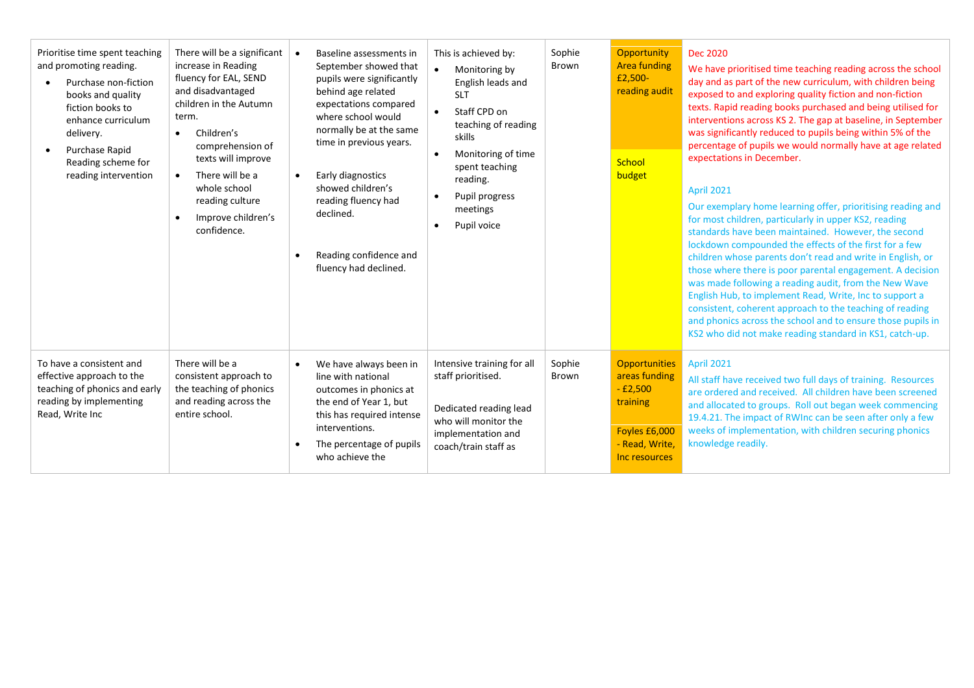| Prioritise time spent teaching<br>and promoting reading.<br>Purchase non-fiction<br>books and quality<br>fiction books to<br>enhance curriculum<br>delivery.<br>Purchase Rapid<br>Reading scheme for<br>reading intervention | There will be a significant<br>increase in Reading<br>fluency for EAL, SEND<br>and disadvantaged<br>children in the Autumn<br>term.<br>Children's<br>$\bullet$<br>comprehension of<br>texts will improve<br>There will be a<br>$\bullet$<br>whole school<br>reading culture<br>Improve children's<br>confidence. | Baseline assessments in<br>September showed that<br>pupils were significantly<br>behind age related<br>expectations compared<br>where school would<br>normally be at the same<br>time in previous years.<br>Early diagnostics<br>showed children's<br>reading fluency had<br>declined.<br>Reading confidence and<br>fluency had declined. | This is achieved by:<br>$\bullet$<br>Monitoring by<br>English leads and<br><b>SLT</b><br>Staff CPD on<br>$\bullet$<br>teaching of reading<br>skills<br>Monitoring of time<br>spent teaching<br>reading.<br>Pupil progress<br>$\bullet$<br>meetings<br>Pupil voice | Sophie<br>Brown        | Opportunity<br><b>Area funding</b><br>£2,500-<br>reading audit<br>School<br>budget                                 | <b>Dec 2020</b><br>We have prioritised time teaching reading across the school<br>day and as part of the new curriculum, with children being<br>exposed to and exploring quality fiction and non-fiction<br>texts. Rapid reading books purchased and being utilised for<br>interventions across KS 2. The gap at baseline, in September<br>was significantly reduced to pupils being within 5% of the<br>percentage of pupils we would normally have at age related<br>expectations in December.<br><b>April 2021</b><br>Our exemplary home learning offer, prioritising reading and<br>for most children, particularly in upper KS2, reading<br>standards have been maintained. However, the second<br>lockdown compounded the effects of the first for a few<br>children whose parents don't read and write in English, or<br>those where there is poor parental engagement. A decision<br>was made following a reading audit, from the New Wave<br>English Hub, to implement Read, Write, Inc to support a<br>consistent, coherent approach to the teaching of reading<br>and phonics across the school and to ensure those pupils in<br>KS2 who did not make reading standard in KS1, catch-up. |
|------------------------------------------------------------------------------------------------------------------------------------------------------------------------------------------------------------------------------|------------------------------------------------------------------------------------------------------------------------------------------------------------------------------------------------------------------------------------------------------------------------------------------------------------------|-------------------------------------------------------------------------------------------------------------------------------------------------------------------------------------------------------------------------------------------------------------------------------------------------------------------------------------------|-------------------------------------------------------------------------------------------------------------------------------------------------------------------------------------------------------------------------------------------------------------------|------------------------|--------------------------------------------------------------------------------------------------------------------|-----------------------------------------------------------------------------------------------------------------------------------------------------------------------------------------------------------------------------------------------------------------------------------------------------------------------------------------------------------------------------------------------------------------------------------------------------------------------------------------------------------------------------------------------------------------------------------------------------------------------------------------------------------------------------------------------------------------------------------------------------------------------------------------------------------------------------------------------------------------------------------------------------------------------------------------------------------------------------------------------------------------------------------------------------------------------------------------------------------------------------------------------------------------------------------------------------|
| To have a consistent and<br>effective approach to the<br>teaching of phonics and early<br>reading by implementing<br>Read, Write Inc                                                                                         | There will be a<br>consistent approach to<br>the teaching of phonics<br>and reading across the<br>entire school.                                                                                                                                                                                                 | We have always been in<br>$\bullet$<br>line with national<br>outcomes in phonics at<br>the end of Year 1, but<br>this has required intense<br>interventions.<br>The percentage of pupils<br>who achieve the                                                                                                                               | Intensive training for all<br>staff prioritised.<br>Dedicated reading lead<br>who will monitor the<br>implementation and<br>coach/train staff as                                                                                                                  | Sophie<br><b>Brown</b> | <b>Opportunities</b><br>areas funding<br>$-£2,500$<br>training<br>Foyles £6,000<br>- Read, Write,<br>Inc resources | <b>April 2021</b><br>All staff have received two full days of training. Resources<br>are ordered and received. All children have been screened<br>and allocated to groups. Roll out began week commencing<br>19.4.21. The impact of RWInc can be seen after only a few<br>weeks of implementation, with children securing phonics<br>knowledge readily.                                                                                                                                                                                                                                                                                                                                                                                                                                                                                                                                                                                                                                                                                                                                                                                                                                             |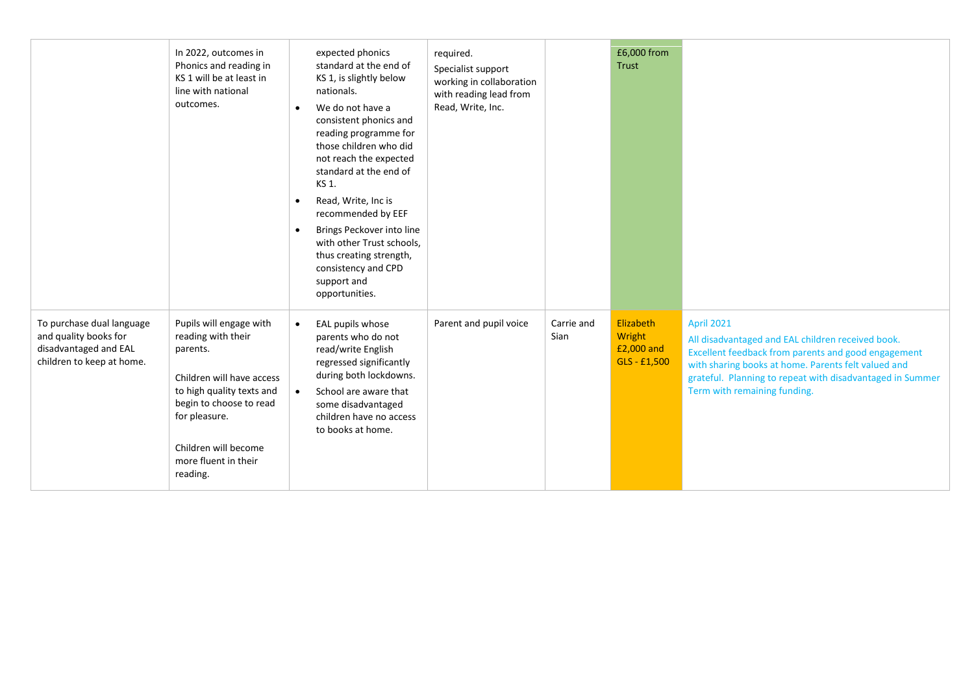|                                                                                                          | In 2022, outcomes in<br>Phonics and reading in<br>KS 1 will be at least in<br>line with national<br>outcomes.                                                                                                               | expected phonics<br>standard at the end of<br>KS 1, is slightly below<br>nationals.<br>We do not have a<br>$\bullet$<br>consistent phonics and<br>reading programme for<br>those children who did<br>not reach the expected<br>standard at the end of<br>KS 1.<br>Read, Write, Inc is<br>$\bullet$<br>recommended by EEF<br>Brings Peckover into line<br>$\bullet$<br>with other Trust schools,<br>thus creating strength,<br>consistency and CPD<br>support and<br>opportunities. | required.<br>Specialist support<br>working in collaboration<br>with reading lead from<br>Read, Write, Inc. |                    | £6,000 from<br>Trust                                |                                                                                                                                                                                                                                                                                   |
|----------------------------------------------------------------------------------------------------------|-----------------------------------------------------------------------------------------------------------------------------------------------------------------------------------------------------------------------------|------------------------------------------------------------------------------------------------------------------------------------------------------------------------------------------------------------------------------------------------------------------------------------------------------------------------------------------------------------------------------------------------------------------------------------------------------------------------------------|------------------------------------------------------------------------------------------------------------|--------------------|-----------------------------------------------------|-----------------------------------------------------------------------------------------------------------------------------------------------------------------------------------------------------------------------------------------------------------------------------------|
| To purchase dual language<br>and quality books for<br>disadvantaged and EAL<br>children to keep at home. | Pupils will engage with<br>reading with their<br>parents.<br>Children will have access<br>to high quality texts and<br>begin to choose to read<br>for pleasure.<br>Children will become<br>more fluent in their<br>reading. | EAL pupils whose<br>$\bullet$<br>parents who do not<br>read/write English<br>regressed significantly<br>during both lockdowns.<br>School are aware that<br>$\bullet$<br>some disadvantaged<br>children have no access<br>to books at home.                                                                                                                                                                                                                                         | Parent and pupil voice                                                                                     | Carrie and<br>Sian | Elizabeth<br>Wright<br>£2,000 and<br>$GLS - E1,500$ | <b>April 2021</b><br>All disadvantaged and EAL children received book.<br>Excellent feedback from parents and good engagement<br>with sharing books at home. Parents felt valued and<br>grateful. Planning to repeat with disadvantaged in Summer<br>Term with remaining funding. |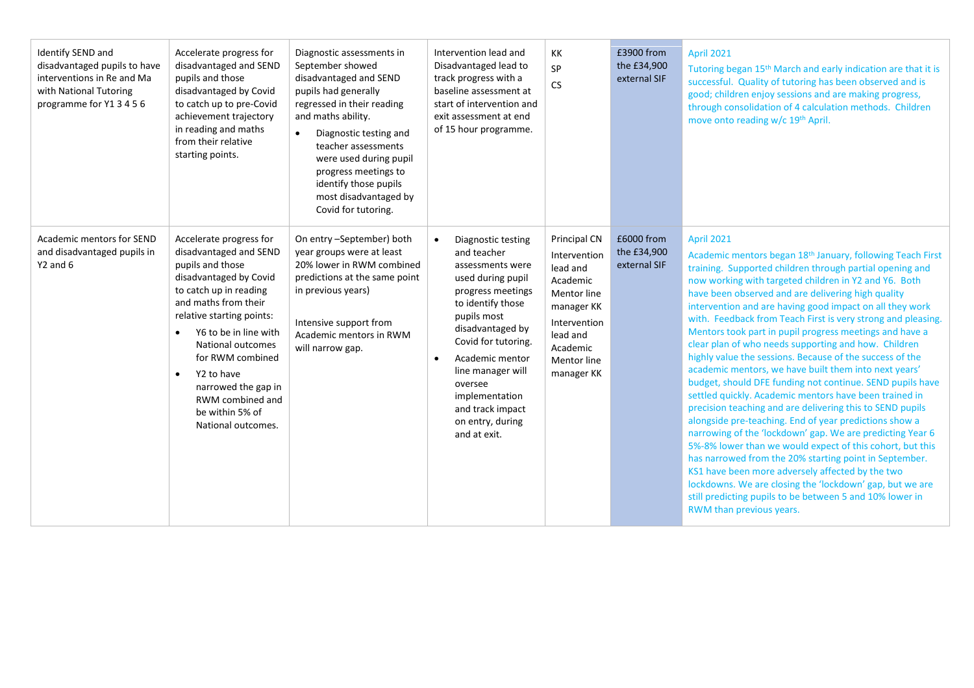| Identify SEND and<br>disadvantaged pupils to have<br>interventions in Re and Ma<br>with National Tutoring<br>programme for Y1 3 4 5 6 | Accelerate progress for<br>disadvantaged and SEND<br>pupils and those<br>disadvantaged by Covid<br>to catch up to pre-Covid<br>achievement trajectory<br>in reading and maths<br>from their relative<br>starting points.                                                                                                                                                     | Diagnostic assessments in<br>September showed<br>disadvantaged and SEND<br>pupils had generally<br>regressed in their reading<br>and maths ability.<br>Diagnostic testing and<br>teacher assessments<br>were used during pupil<br>progress meetings to<br>identify those pupils<br>most disadvantaged by<br>Covid for tutoring. | Intervention lead and<br>Disadvantaged lead to<br>track progress with a<br>baseline assessment at<br>start of intervention and<br>exit assessment at end<br>of 15 hour programme.                                                                                                                           | KK<br>SP<br><b>CS</b>                                                                                                                                                | £3900 from<br>the £34,900<br>external SIF | <b>April 2021</b><br>Tutoring began 15 <sup>th</sup> March and early indication are that it is<br>successful. Quality of tutoring has been observed and is<br>good; children enjoy sessions and are making progress,<br>through consolidation of 4 calculation methods. Children<br>move onto reading w/c 19th April.                                                                                                                                                                                                                                                                                                                                                                                                                                                                                                                                                                                                                                                                                                                                                                                                                                                                                                                                                                |
|---------------------------------------------------------------------------------------------------------------------------------------|------------------------------------------------------------------------------------------------------------------------------------------------------------------------------------------------------------------------------------------------------------------------------------------------------------------------------------------------------------------------------|---------------------------------------------------------------------------------------------------------------------------------------------------------------------------------------------------------------------------------------------------------------------------------------------------------------------------------|-------------------------------------------------------------------------------------------------------------------------------------------------------------------------------------------------------------------------------------------------------------------------------------------------------------|----------------------------------------------------------------------------------------------------------------------------------------------------------------------|-------------------------------------------|--------------------------------------------------------------------------------------------------------------------------------------------------------------------------------------------------------------------------------------------------------------------------------------------------------------------------------------------------------------------------------------------------------------------------------------------------------------------------------------------------------------------------------------------------------------------------------------------------------------------------------------------------------------------------------------------------------------------------------------------------------------------------------------------------------------------------------------------------------------------------------------------------------------------------------------------------------------------------------------------------------------------------------------------------------------------------------------------------------------------------------------------------------------------------------------------------------------------------------------------------------------------------------------|
| Academic mentors for SEND<br>and disadvantaged pupils in<br>Y2 and 6                                                                  | Accelerate progress for<br>disadvantaged and SEND<br>pupils and those<br>disadvantaged by Covid<br>to catch up in reading<br>and maths from their<br>relative starting points:<br>Y6 to be in line with<br>$\bullet$<br>National outcomes<br>for RWM combined<br>Y2 to have<br>$\bullet$<br>narrowed the gap in<br>RWM combined and<br>be within 5% of<br>National outcomes. | On entry -September) both<br>year groups were at least<br>20% lower in RWM combined<br>predictions at the same point<br>in previous years)<br>Intensive support from<br>Academic mentors in RWM<br>will narrow gap.                                                                                                             | Diagnostic testing<br>and teacher<br>assessments were<br>used during pupil<br>progress meetings<br>to identify those<br>pupils most<br>disadvantaged by<br>Covid for tutoring.<br>Academic mentor<br>line manager will<br>oversee<br>implementation<br>and track impact<br>on entry, during<br>and at exit. | Principal CN<br>Intervention<br>lead and<br>Academic<br><b>Mentor line</b><br>manager KK<br>Intervention<br>lead and<br>Academic<br><b>Mentor line</b><br>manager KK | £6000 from<br>the £34,900<br>external SIF | <b>April 2021</b><br>Academic mentors began 18 <sup>th</sup> January, following Teach First<br>training. Supported children through partial opening and<br>now working with targeted children in Y2 and Y6. Both<br>have been observed and are delivering high quality<br>intervention and are having good impact on all they work<br>with. Feedback from Teach First is very strong and pleasing.<br>Mentors took part in pupil progress meetings and have a<br>clear plan of who needs supporting and how. Children<br>highly value the sessions. Because of the success of the<br>academic mentors, we have built them into next years'<br>budget, should DFE funding not continue. SEND pupils have<br>settled quickly. Academic mentors have been trained in<br>precision teaching and are delivering this to SEND pupils<br>alongside pre-teaching. End of year predictions show a<br>narrowing of the 'lockdown' gap. We are predicting Year 6<br>5%-8% lower than we would expect of this cohort, but this<br>has narrowed from the 20% starting point in September.<br>KS1 have been more adversely affected by the two<br>lockdowns. We are closing the 'lockdown' gap, but we are<br>still predicting pupils to be between 5 and 10% lower in<br>RWM than previous years. |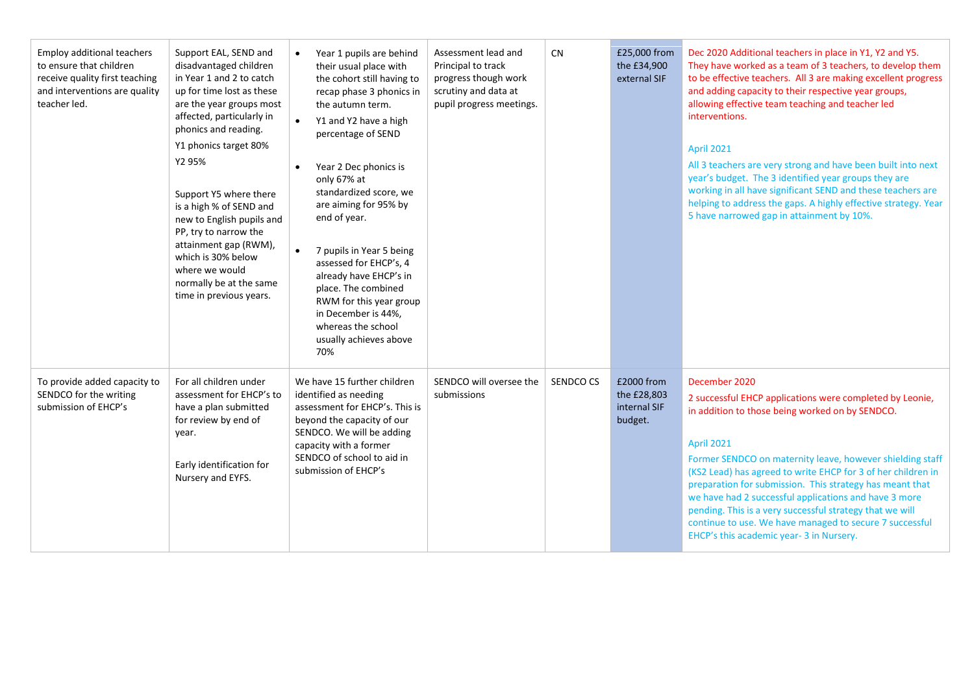| <b>Employ additional teachers</b><br>to ensure that children<br>receive quality first teaching<br>and interventions are quality<br>teacher led. | Support EAL, SEND and<br>disadvantaged children<br>in Year 1 and 2 to catch<br>up for time lost as these<br>are the year groups most<br>affected, particularly in<br>phonics and reading.<br>Y1 phonics target 80%<br>Y2 95%<br>Support Y5 where there<br>is a high % of SEND and<br>new to English pupils and<br>PP, try to narrow the<br>attainment gap (RWM),<br>which is 30% below<br>where we would<br>normally be at the same<br>time in previous years. | Year 1 pupils are behind<br>their usual place with<br>the cohort still having to<br>recap phase 3 phonics in<br>the autumn term.<br>Y1 and Y2 have a high<br>$\bullet$<br>percentage of SEND<br>Year 2 Dec phonics is<br>$\bullet$<br>only 67% at<br>standardized score, we<br>are aiming for 95% by<br>end of year.<br>7 pupils in Year 5 being<br>assessed for EHCP's, 4<br>already have EHCP's in<br>place. The combined<br>RWM for this year group<br>in December is 44%,<br>whereas the school<br>usually achieves above<br>70% | Assessment lead and<br>Principal to track<br>progress though work<br>scrutiny and data at<br>pupil progress meetings. | CN        | £25,000 from<br>the £34,900<br>external SIF          | Dec 2020 Additional teachers in place in Y1, Y2 and Y5.<br>They have worked as a team of 3 teachers, to develop them<br>to be effective teachers. All 3 are making excellent progress<br>and adding capacity to their respective year groups,<br>allowing effective team teaching and teacher led<br>interventions.<br><b>April 2021</b><br>All 3 teachers are very strong and have been built into next<br>year's budget. The 3 identified year groups they are<br>working in all have significant SEND and these teachers are<br>helping to address the gaps. A highly effective strategy. Year<br>5 have narrowed gap in attainment by 10%. |
|-------------------------------------------------------------------------------------------------------------------------------------------------|----------------------------------------------------------------------------------------------------------------------------------------------------------------------------------------------------------------------------------------------------------------------------------------------------------------------------------------------------------------------------------------------------------------------------------------------------------------|--------------------------------------------------------------------------------------------------------------------------------------------------------------------------------------------------------------------------------------------------------------------------------------------------------------------------------------------------------------------------------------------------------------------------------------------------------------------------------------------------------------------------------------|-----------------------------------------------------------------------------------------------------------------------|-----------|------------------------------------------------------|------------------------------------------------------------------------------------------------------------------------------------------------------------------------------------------------------------------------------------------------------------------------------------------------------------------------------------------------------------------------------------------------------------------------------------------------------------------------------------------------------------------------------------------------------------------------------------------------------------------------------------------------|
| To provide added capacity to<br>SENDCO for the writing<br>submission of EHCP's                                                                  | For all children under<br>assessment for EHCP's to<br>have a plan submitted<br>for review by end of<br>year.<br>Early identification for<br>Nursery and EYFS.                                                                                                                                                                                                                                                                                                  | We have 15 further children<br>identified as needing<br>assessment for EHCP's. This is<br>beyond the capacity of our<br>SENDCO. We will be adding<br>capacity with a former<br>SENDCO of school to aid in<br>submission of EHCP's                                                                                                                                                                                                                                                                                                    | SENDCO will oversee the<br>submissions                                                                                | SENDCO CS | £2000 from<br>the £28,803<br>internal SIF<br>budget. | December 2020<br>2 successful EHCP applications were completed by Leonie,<br>in addition to those being worked on by SENDCO.<br><b>April 2021</b><br>Former SENDCO on maternity leave, however shielding staff<br>(KS2 Lead) has agreed to write EHCP for 3 of her children in<br>preparation for submission. This strategy has meant that<br>we have had 2 successful applications and have 3 more<br>pending. This is a very successful strategy that we will<br>continue to use. We have managed to secure 7 successful<br>EHCP's this academic year-3 in Nursery.                                                                          |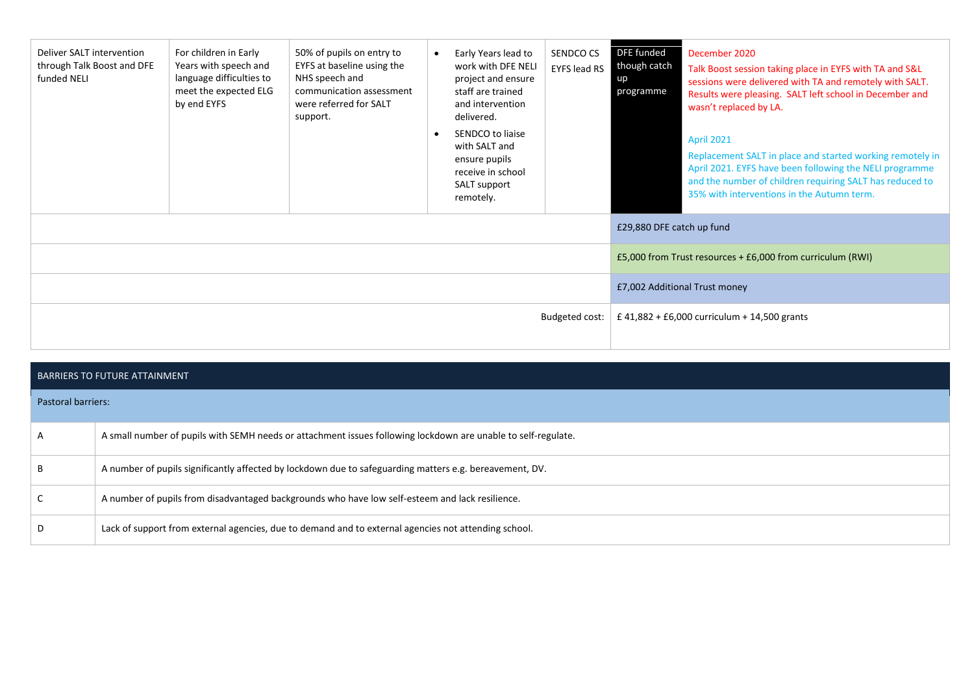| Deliver SALT intervention<br>through Talk Boost and DFE<br>funded NELI | For children in Early<br>Years with speech and<br>language difficulties to<br>meet the expected ELG<br>by end EYFS | 50% of pupils on entry to<br>EYFS at baseline using the<br>NHS speech and<br>communication assessment<br>were referred for SALT<br>support. | Early Years lead to<br>$\bullet$<br>work with DFE NELI<br>project and ensure<br>staff are trained<br>and intervention<br>delivered.<br>SENDCO to liaise<br>with SALT and<br>ensure pupils<br>receive in school<br>SALT support<br>remotely. | SENDCO CS<br><b>EYFS lead RS</b> | DFE funded<br>though catch<br>up<br>programme | December 2020<br>Talk Boost session taking place in EYFS with TA and S&L<br>sessions were delivered with TA and remotely with SALT.<br>Results were pleasing. SALT left school in December and<br>wasn't replaced by LA.<br>April 2021<br>Replacement SALT in place and started working remotely in<br>April 2021. EYFS have been following the NELI programme<br>and the number of children requiring SALT has reduced to<br>35% with interventions in the Autumn term. |  |
|------------------------------------------------------------------------|--------------------------------------------------------------------------------------------------------------------|---------------------------------------------------------------------------------------------------------------------------------------------|---------------------------------------------------------------------------------------------------------------------------------------------------------------------------------------------------------------------------------------------|----------------------------------|-----------------------------------------------|--------------------------------------------------------------------------------------------------------------------------------------------------------------------------------------------------------------------------------------------------------------------------------------------------------------------------------------------------------------------------------------------------------------------------------------------------------------------------|--|
|                                                                        |                                                                                                                    |                                                                                                                                             |                                                                                                                                                                                                                                             |                                  | £29,880 DFE catch up fund                     |                                                                                                                                                                                                                                                                                                                                                                                                                                                                          |  |
|                                                                        |                                                                                                                    |                                                                                                                                             |                                                                                                                                                                                                                                             |                                  |                                               | £5,000 from Trust resources + £6,000 from curriculum (RWI)                                                                                                                                                                                                                                                                                                                                                                                                               |  |
|                                                                        |                                                                                                                    |                                                                                                                                             |                                                                                                                                                                                                                                             |                                  | £7,002 Additional Trust money                 |                                                                                                                                                                                                                                                                                                                                                                                                                                                                          |  |
| Budgeted cost:                                                         |                                                                                                                    |                                                                                                                                             |                                                                                                                                                                                                                                             |                                  |                                               | £ 41,882 + £6,000 curriculum + 14,500 grants                                                                                                                                                                                                                                                                                                                                                                                                                             |  |

## BARRIERS TO FUTURE ATTAINMENT

| <b>Pastoral barriers:</b> |                                                                                                               |
|---------------------------|---------------------------------------------------------------------------------------------------------------|
| $\mathsf{A}$              | A small number of pupils with SEMH needs or attachment issues following lockdown are unable to self-regulate. |
|                           | A number of pupils significantly affected by lockdown due to safeguarding matters e.g. bereavement, DV.       |
|                           | A number of pupils from disadvantaged backgrounds who have low self-esteem and lack resilience.               |
| D                         | Lack of support from external agencies, due to demand and to external agencies not attending school.          |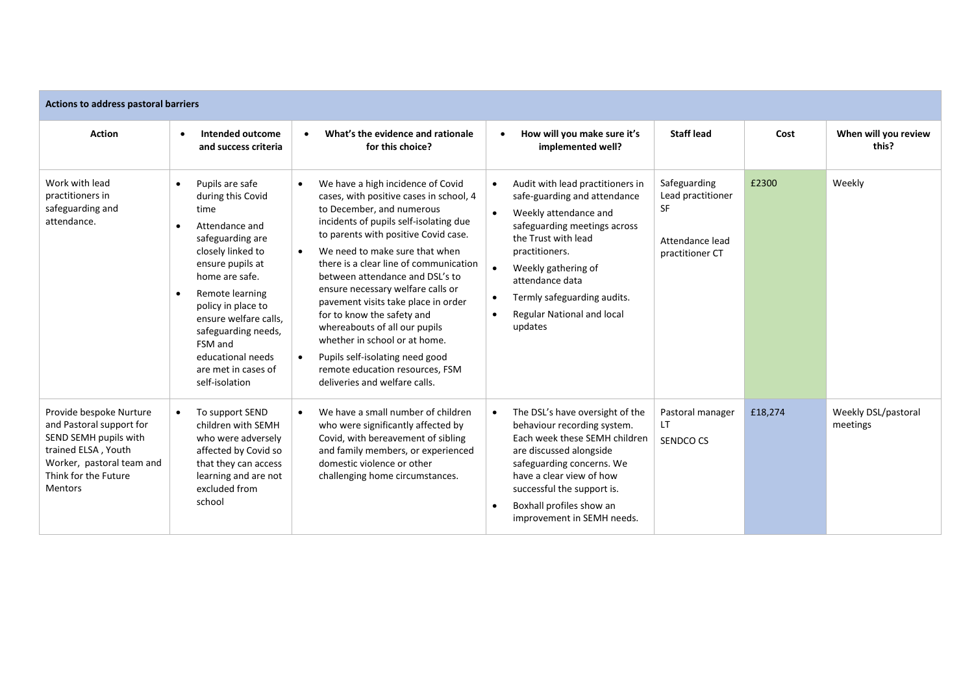| Actions to address pastoral barriers                                                                                                                                       |                                                                                                                                                                                                                                                                                                                                                        |                                                                                                                                                                                                                                                                                                                                                                                                                                                                                                                                                                                                            |                                                                                                                                                                                                                                                                                      |                                                                                      |         |                                 |  |  |  |  |  |
|----------------------------------------------------------------------------------------------------------------------------------------------------------------------------|--------------------------------------------------------------------------------------------------------------------------------------------------------------------------------------------------------------------------------------------------------------------------------------------------------------------------------------------------------|------------------------------------------------------------------------------------------------------------------------------------------------------------------------------------------------------------------------------------------------------------------------------------------------------------------------------------------------------------------------------------------------------------------------------------------------------------------------------------------------------------------------------------------------------------------------------------------------------------|--------------------------------------------------------------------------------------------------------------------------------------------------------------------------------------------------------------------------------------------------------------------------------------|--------------------------------------------------------------------------------------|---------|---------------------------------|--|--|--|--|--|
| <b>Action</b>                                                                                                                                                              | Intended outcome<br>and success criteria                                                                                                                                                                                                                                                                                                               | What's the evidence and rationale<br>$\bullet$<br>for this choice?                                                                                                                                                                                                                                                                                                                                                                                                                                                                                                                                         | How will you make sure it's<br>$\bullet$<br>implemented well?                                                                                                                                                                                                                        | <b>Staff lead</b>                                                                    | Cost    | When will you review<br>this?   |  |  |  |  |  |
| Work with lead<br>practitioners in<br>safeguarding and<br>attendance.                                                                                                      | Pupils are safe<br>$\bullet$<br>during this Covid<br>time<br>Attendance and<br>$\bullet$<br>safeguarding are<br>closely linked to<br>ensure pupils at<br>home are safe.<br>Remote learning<br>$\bullet$<br>policy in place to<br>ensure welfare calls.<br>safeguarding needs,<br>FSM and<br>educational needs<br>are met in cases of<br>self-isolation | We have a high incidence of Covid<br>$\bullet$<br>cases, with positive cases in school, 4<br>to December, and numerous<br>incidents of pupils self-isolating due<br>to parents with positive Covid case.<br>We need to make sure that when<br>there is a clear line of communication<br>between attendance and DSL's to<br>ensure necessary welfare calls or<br>pavement visits take place in order<br>for to know the safety and<br>whereabouts of all our pupils<br>whether in school or at home.<br>Pupils self-isolating need good<br>remote education resources, FSM<br>deliveries and welfare calls. | Audit with lead practitioners in<br>safe-guarding and attendance<br>Weekly attendance and<br>safeguarding meetings across<br>the Trust with lead<br>practitioners.<br>Weekly gathering of<br>attendance data<br>Termly safeguarding audits.<br>Regular National and local<br>updates | Safeguarding<br>Lead practitioner<br><b>SF</b><br>Attendance lead<br>practitioner CT | £2300   | Weekly                          |  |  |  |  |  |
| Provide bespoke Nurture<br>and Pastoral support for<br>SEND SEMH pupils with<br>trained ELSA, Youth<br>Worker, pastoral team and<br>Think for the Future<br><b>Mentors</b> | To support SEND<br>$\bullet$<br>children with SEMH<br>who were adversely<br>affected by Covid so<br>that they can access<br>learning and are not<br>excluded from<br>school                                                                                                                                                                            | We have a small number of children<br>who were significantly affected by<br>Covid, with bereavement of sibling<br>and family members, or experienced<br>domestic violence or other<br>challenging home circumstances.                                                                                                                                                                                                                                                                                                                                                                                      | The DSL's have oversight of the<br>behaviour recording system.<br>Each week these SEMH children<br>are discussed alongside<br>safeguarding concerns. We<br>have a clear view of how<br>successful the support is.<br>Boxhall profiles show an<br>improvement in SEMH needs.          | Pastoral manager<br>$\mathsf{I}$<br>SENDCO CS                                        | £18,274 | Weekly DSL/pastoral<br>meetings |  |  |  |  |  |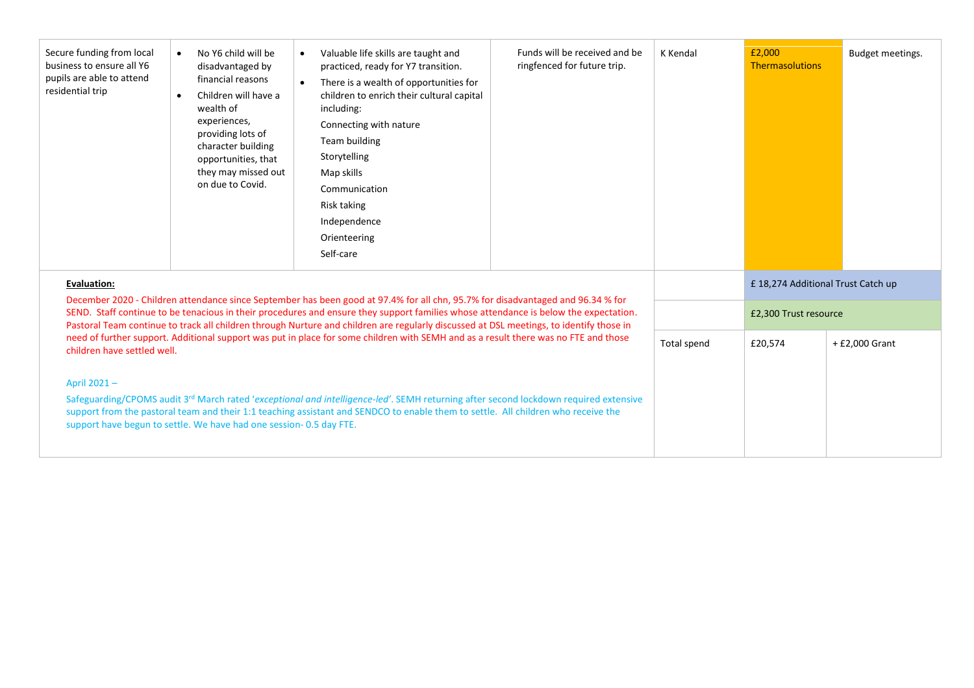| Secure funding from local<br>business to ensure all Y6<br>pupils are able to attend<br>residential trip                                                                                                                                                                                                                                                                                                                                                                                                                                                                                  | No Y6 child will be<br>disadvantaged by<br>financial reasons<br>Children will have a<br>wealth of<br>experiences,<br>providing lots of<br>character building<br>opportunities, that<br>they may missed out<br>on due to Covid. | Valuable life skills are taught and<br>$\bullet$<br>practiced, ready for Y7 transition.<br>There is a wealth of opportunities for<br>$\bullet$<br>children to enrich their cultural capital<br>including:<br>Connecting with nature<br>Team building<br>Storytelling<br>Map skills<br>Communication<br>Risk taking<br>Independence<br>Orienteering<br>Self-care | Funds will be received and be<br>ringfenced for future trip. | K Kendal    | £2,000<br><b>Thermasolutions</b>   | Budget meetings. |
|------------------------------------------------------------------------------------------------------------------------------------------------------------------------------------------------------------------------------------------------------------------------------------------------------------------------------------------------------------------------------------------------------------------------------------------------------------------------------------------------------------------------------------------------------------------------------------------|--------------------------------------------------------------------------------------------------------------------------------------------------------------------------------------------------------------------------------|-----------------------------------------------------------------------------------------------------------------------------------------------------------------------------------------------------------------------------------------------------------------------------------------------------------------------------------------------------------------|--------------------------------------------------------------|-------------|------------------------------------|------------------|
| <b>Evaluation:</b>                                                                                                                                                                                                                                                                                                                                                                                                                                                                                                                                                                       |                                                                                                                                                                                                                                |                                                                                                                                                                                                                                                                                                                                                                 |                                                              |             | £ 18,274 Additional Trust Catch up |                  |
| December 2020 - Children attendance since September has been good at 97.4% for all chn, 95.7% for disadvantaged and 96.34 % for<br>SEND. Staff continue to be tenacious in their procedures and ensure they support families whose attendance is below the expectation.<br>Pastoral Team continue to track all children through Nurture and children are regularly discussed at DSL meetings, to identify those in<br>need of further support. Additional support was put in place for some children with SEMH and as a result there was no FTE and those<br>children have settled well. |                                                                                                                                                                                                                                |                                                                                                                                                                                                                                                                                                                                                                 |                                                              |             | £2,300 Trust resource              |                  |
|                                                                                                                                                                                                                                                                                                                                                                                                                                                                                                                                                                                          |                                                                                                                                                                                                                                |                                                                                                                                                                                                                                                                                                                                                                 |                                                              | Total spend | £20,574                            | + £2,000 Grant   |
| April 2021-                                                                                                                                                                                                                                                                                                                                                                                                                                                                                                                                                                              | support have begun to settle. We have had one session-0.5 day FTE.                                                                                                                                                             | Safeguarding/CPOMS audit 3rd March rated 'exceptional and intelligence-led'. SEMH returning after second lockdown required extensive<br>support from the pastoral team and their 1:1 teaching assistant and SENDCO to enable them to settle. All children who receive the                                                                                       |                                                              |             |                                    |                  |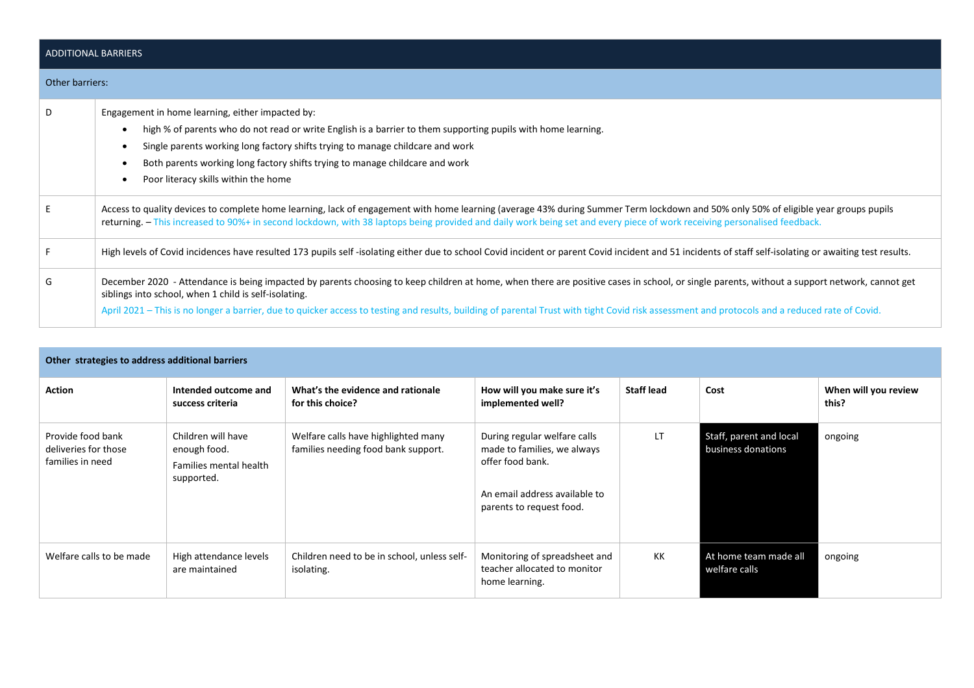| <b>ADDITIONAL BARRIERS</b> |                                                                                                                                                                                                                                                                                                                                                                                                                                                         |  |  |  |
|----------------------------|---------------------------------------------------------------------------------------------------------------------------------------------------------------------------------------------------------------------------------------------------------------------------------------------------------------------------------------------------------------------------------------------------------------------------------------------------------|--|--|--|
| Other barriers:            |                                                                                                                                                                                                                                                                                                                                                                                                                                                         |  |  |  |
| D                          | Engagement in home learning, either impacted by:<br>high % of parents who do not read or write English is a barrier to them supporting pupils with home learning.<br>Single parents working long factory shifts trying to manage childcare and work<br>Both parents working long factory shifts trying to manage childcare and work<br>Poor literacy skills within the home                                                                             |  |  |  |
| E                          | Access to quality devices to complete home learning, lack of engagement with home learning (average 43% during Summer Term lockdown and 50% only 50% of eligible year groups pupils<br>returning. - This increased to 90%+ in second lockdown, with 38 laptops being provided and daily work being set and every piece of work receiving personalised feedback.                                                                                         |  |  |  |
| F.                         | High levels of Covid incidences have resulted 173 pupils self-isolating either due to school Covid incident or parent Covid incident and 51 incidents of staff self-isolating or awaiting test results.                                                                                                                                                                                                                                                 |  |  |  |
| G                          | December 2020 - Attendance is being impacted by parents choosing to keep children at home, when there are positive cases in school, or single parents, without a support network, cannot get<br>siblings into school, when 1 child is self-isolating.<br>April 2021 – This is no longer a barrier, due to quicker access to testing and results, building of parental Trust with tight Covid risk assessment and protocols and a reduced rate of Covid. |  |  |  |

| Other strategies to address additional barriers               |                                                                            |                                                                            |                                                                                                                                              |                   |                                               |                               |
|---------------------------------------------------------------|----------------------------------------------------------------------------|----------------------------------------------------------------------------|----------------------------------------------------------------------------------------------------------------------------------------------|-------------------|-----------------------------------------------|-------------------------------|
| Action                                                        | Intended outcome and<br>success criteria                                   | What's the evidence and rationale<br>for this choice?                      | How will you make sure it's<br>implemented well?                                                                                             | <b>Staff lead</b> | Cost                                          | When will you review<br>this? |
| Provide food bank<br>deliveries for those<br>families in need | Children will have<br>enough food.<br>Families mental health<br>supported. | Welfare calls have highlighted many<br>families needing food bank support. | During regular welfare calls<br>made to families, we always<br>offer food bank.<br>An email address available to<br>parents to request food. | <b>LT</b>         | Staff, parent and local<br>business donations | ongoing                       |
| Welfare calls to be made                                      | High attendance levels<br>are maintained                                   | Children need to be in school, unless self-<br>isolating.                  | Monitoring of spreadsheet and<br>teacher allocated to monitor<br>home learning.                                                              | KK                | At home team made all<br>welfare calls        | ongoing                       |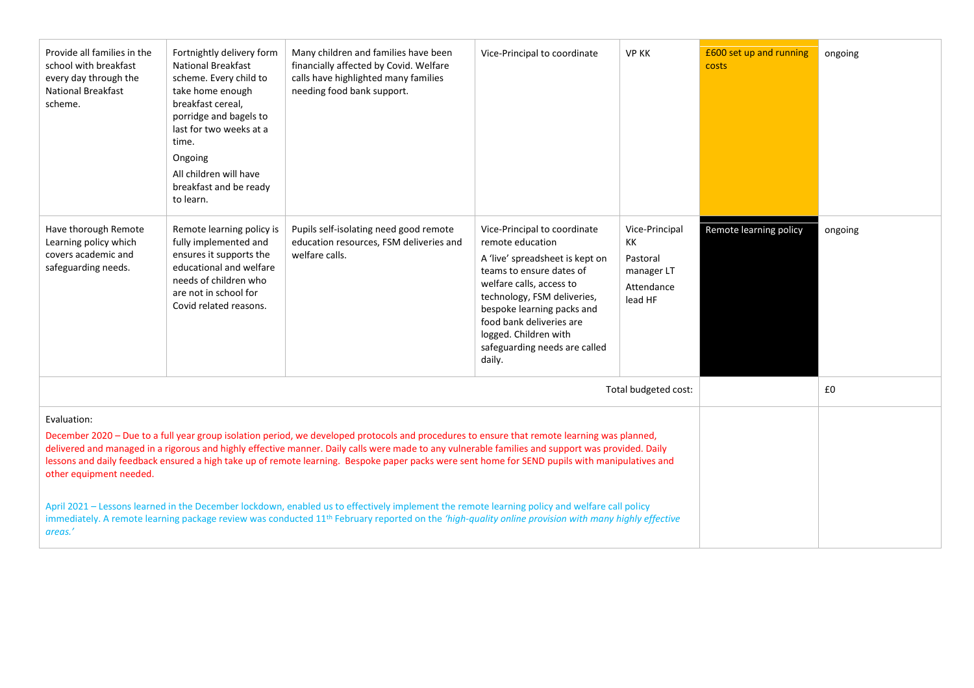| Provide all families in the<br>school with breakfast<br>every day through the<br><b>National Breakfast</b><br>scheme.                                                                                                                                                                                                                                                                                                                                                                                                                                                                                                                                                                                                                                                                                                         | Fortnightly delivery form<br><b>National Breakfast</b><br>scheme. Every child to<br>take home enough<br>breakfast cereal,<br>porridge and bagels to<br>last for two weeks at a<br>time.<br>Ongoing<br>All children will have<br>breakfast and be ready<br>to learn. | Many children and families have been<br>financially affected by Covid. Welfare<br>calls have highlighted many families<br>needing food bank support. | Vice-Principal to coordinate                                                                                                                                                                                                                                                                             | <b>VP KK</b>                                                            | £600 set up and running<br>costs | ongoing |
|-------------------------------------------------------------------------------------------------------------------------------------------------------------------------------------------------------------------------------------------------------------------------------------------------------------------------------------------------------------------------------------------------------------------------------------------------------------------------------------------------------------------------------------------------------------------------------------------------------------------------------------------------------------------------------------------------------------------------------------------------------------------------------------------------------------------------------|---------------------------------------------------------------------------------------------------------------------------------------------------------------------------------------------------------------------------------------------------------------------|------------------------------------------------------------------------------------------------------------------------------------------------------|----------------------------------------------------------------------------------------------------------------------------------------------------------------------------------------------------------------------------------------------------------------------------------------------------------|-------------------------------------------------------------------------|----------------------------------|---------|
| Have thorough Remote<br>Learning policy which<br>covers academic and<br>safeguarding needs.                                                                                                                                                                                                                                                                                                                                                                                                                                                                                                                                                                                                                                                                                                                                   | Remote learning policy is<br>fully implemented and<br>ensures it supports the<br>educational and welfare<br>needs of children who<br>are not in school for<br>Covid related reasons.                                                                                | Pupils self-isolating need good remote<br>education resources, FSM deliveries and<br>welfare calls.                                                  | Vice-Principal to coordinate<br>remote education<br>A 'live' spreadsheet is kept on<br>teams to ensure dates of<br>welfare calls, access to<br>technology, FSM deliveries,<br>bespoke learning packs and<br>food bank deliveries are<br>logged. Children with<br>safeguarding needs are called<br>daily. | Vice-Principal<br>KK<br>Pastoral<br>manager LT<br>Attendance<br>lead HF | Remote learning policy           | ongoing |
| Total budgeted cost:                                                                                                                                                                                                                                                                                                                                                                                                                                                                                                                                                                                                                                                                                                                                                                                                          |                                                                                                                                                                                                                                                                     |                                                                                                                                                      |                                                                                                                                                                                                                                                                                                          |                                                                         |                                  | £0      |
| Evaluation:<br>December 2020 - Due to a full year group isolation period, we developed protocols and procedures to ensure that remote learning was planned,<br>delivered and managed in a rigorous and highly effective manner. Daily calls were made to any vulnerable families and support was provided. Daily<br>lessons and daily feedback ensured a high take up of remote learning. Bespoke paper packs were sent home for SEND pupils with manipulatives and<br>other equipment needed.<br>April 2021 - Lessons learned in the December lockdown, enabled us to effectively implement the remote learning policy and welfare call policy<br>immediately. A remote learning package review was conducted 11 <sup>th</sup> February reported on the 'high-quality online provision with many highly effective<br>areas.' |                                                                                                                                                                                                                                                                     |                                                                                                                                                      |                                                                                                                                                                                                                                                                                                          |                                                                         |                                  |         |